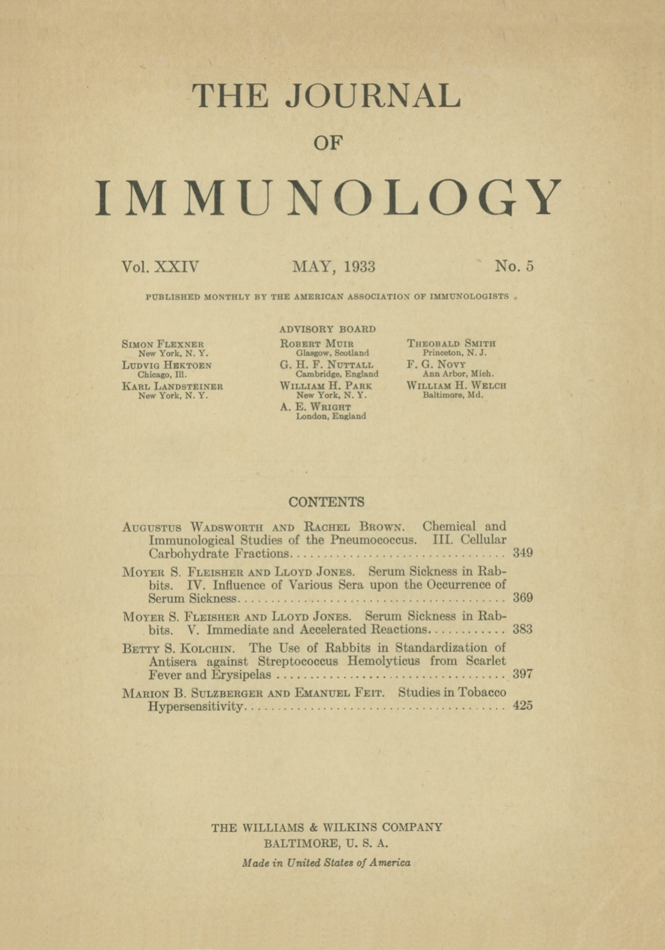## **THE JOURNAL**

### **OF**

# **IMMUNOLOGY**

#### Vol. XXIV MAY, 1933 No. **5**

PUBLISHED MONTHLY BY THE AMERICAN ASSOCIATION OF IMMUNOLOGISTS

SIMON FLEXNER New York, N. Y. LUDVIG HEKTOEN Chicago, Ill. KARL LANDSTEINER New York, N. Y.

#### ADVISORY BOARD

ROBERT MUIR Glasgow, Scotland G. H. F. NUTTALL Cambridge, England WILLIAM H. PARK<br>New York, N. Y. A. E. WRIGHT<br>London, England

THEOBALD SMITH Princeton, N. J. F. G. Novr **Ann** Arbor, Mich. WILLIAM H. WELCH Baltimore, Md.

#### **CONTENTS**

| AUGUSTUS WADSWORTH AND RACHEL BROWN. Chemical and<br>Immunological Studies of the Pneumococcus. III. Cellular           |  |
|-------------------------------------------------------------------------------------------------------------------------|--|
| MOYER S. FLEISHER AND LLOYD JONES. Serum Sickness in Rab-<br>bits. IV. Influence of Various Sera upon the Occurrence of |  |
| MOYER S. FLEISHER AND LLOYD JONES. Serum Sickness in Rab-<br>bits. V. Immediate and Accelerated Reactions 383           |  |
| BETTY S. KOLCHIN. The Use of Rabbits in Standardization of<br>Antisera against Streptococcus Hemolyticus from Scarlet   |  |
| MARION B. SULZBERGER AND EMANUEL FEIT. Studies in Tobacco                                                               |  |

THE WILLIAMS & WILKINS COMPANY BALTIMORE, U. S. A. *Made in United States of America*